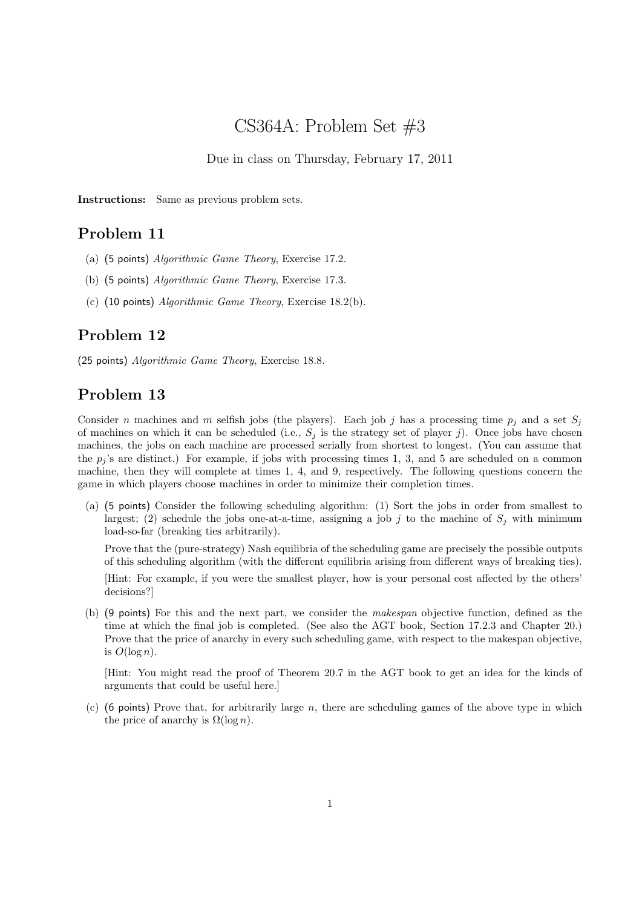# CS364A: Problem Set #3

Due in class on Thursday, February 17, 2011

Instructions: Same as previous problem sets.

## Problem 11

- (a) (5 points) Algorithmic Game Theory, Exercise 17.2.
- (b) (5 points) Algorithmic Game Theory, Exercise 17.3.
- (c) (10 points) Algorithmic Game Theory, Exercise 18.2(b).

#### Problem 12

(25 points) Algorithmic Game Theory, Exercise 18.8.

### Problem 13

Consider n machines and m selfish jobs (the players). Each job j has a processing time  $p_i$  and a set  $S_i$ of machines on which it can be scheduled (i.e.,  $S_j$  is the strategy set of player j). Once jobs have chosen machines, the jobs on each machine are processed serially from shortest to longest. (You can assume that the  $p_i$ 's are distinct.) For example, if jobs with processing times 1, 3, and 5 are scheduled on a common machine, then they will complete at times 1, 4, and 9, respectively. The following questions concern the game in which players choose machines in order to minimize their completion times.

(a) (5 points) Consider the following scheduling algorithm: (1) Sort the jobs in order from smallest to largest; (2) schedule the jobs one-at-a-time, assigning a job j to the machine of  $S_j$  with minimum load-so-far (breaking ties arbitrarily).

Prove that the (pure-strategy) Nash equilibria of the scheduling game are precisely the possible outputs of this scheduling algorithm (with the different equilibria arising from different ways of breaking ties).

[Hint: For example, if you were the smallest player, how is your personal cost affected by the others' decisions?]

(b) (9 points) For this and the next part, we consider the makespan objective function, defined as the time at which the final job is completed. (See also the AGT book, Section 17.2.3 and Chapter 20.) Prove that the price of anarchy in every such scheduling game, with respect to the makespan objective, is  $O(\log n)$ .

[Hint: You might read the proof of Theorem 20.7 in the AGT book to get an idea for the kinds of arguments that could be useful here.]

 $(c)$  (6 points) Prove that, for arbitrarily large n, there are scheduling games of the above type in which the price of anarchy is  $\Omega(\log n)$ .